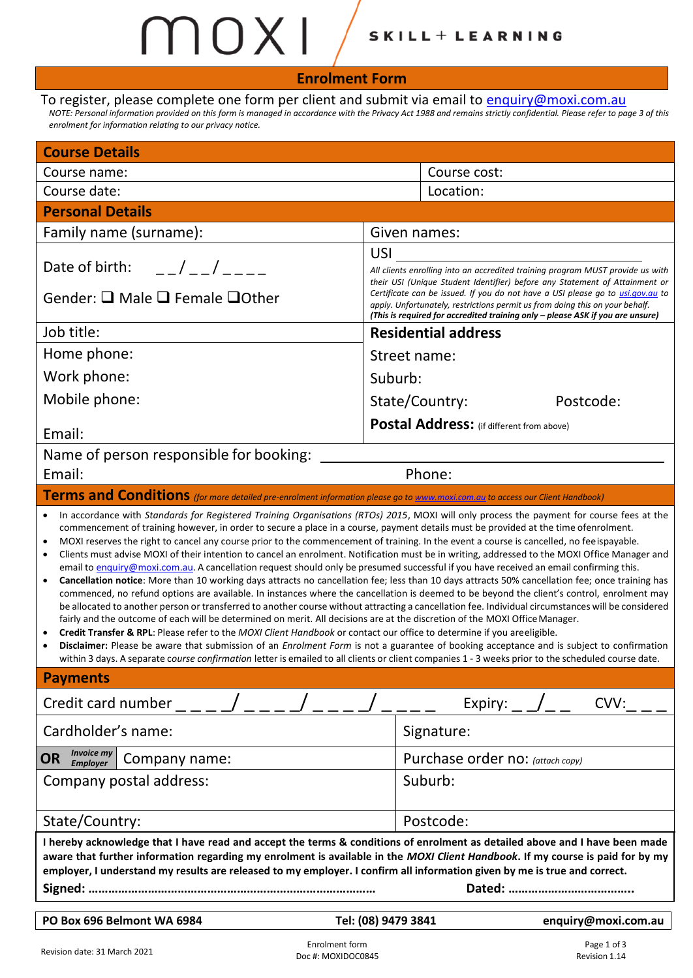# $MNXL/$ SKILL + LEARNING

| $\overline{1}$                                                                                                                                                                                                                                                                                                                                                                                                                                                                                                                                                                                                                                                                                                                                                                                                                                                                                                                                                                         |                                                                                                                                                                                                                                                                                                                                                                                                                                                                                                                                                                                                                                                                                                                                                  |  |  |  |  |  |  |
|----------------------------------------------------------------------------------------------------------------------------------------------------------------------------------------------------------------------------------------------------------------------------------------------------------------------------------------------------------------------------------------------------------------------------------------------------------------------------------------------------------------------------------------------------------------------------------------------------------------------------------------------------------------------------------------------------------------------------------------------------------------------------------------------------------------------------------------------------------------------------------------------------------------------------------------------------------------------------------------|--------------------------------------------------------------------------------------------------------------------------------------------------------------------------------------------------------------------------------------------------------------------------------------------------------------------------------------------------------------------------------------------------------------------------------------------------------------------------------------------------------------------------------------------------------------------------------------------------------------------------------------------------------------------------------------------------------------------------------------------------|--|--|--|--|--|--|
| <b>Enrolment Form</b>                                                                                                                                                                                                                                                                                                                                                                                                                                                                                                                                                                                                                                                                                                                                                                                                                                                                                                                                                                  |                                                                                                                                                                                                                                                                                                                                                                                                                                                                                                                                                                                                                                                                                                                                                  |  |  |  |  |  |  |
| To register, please complete one form per client and submit via email to enquiry@moxi.com.au<br>NOTE: Personal information provided on this form is managed in accordance with the Privacy Act 1988 and remains strictly confidential. Please refer to page 3 of this<br>enrolment for information relating to our privacy notice.                                                                                                                                                                                                                                                                                                                                                                                                                                                                                                                                                                                                                                                     |                                                                                                                                                                                                                                                                                                                                                                                                                                                                                                                                                                                                                                                                                                                                                  |  |  |  |  |  |  |
| <b>Course Details</b>                                                                                                                                                                                                                                                                                                                                                                                                                                                                                                                                                                                                                                                                                                                                                                                                                                                                                                                                                                  |                                                                                                                                                                                                                                                                                                                                                                                                                                                                                                                                                                                                                                                                                                                                                  |  |  |  |  |  |  |
| Course name:                                                                                                                                                                                                                                                                                                                                                                                                                                                                                                                                                                                                                                                                                                                                                                                                                                                                                                                                                                           | Course cost:                                                                                                                                                                                                                                                                                                                                                                                                                                                                                                                                                                                                                                                                                                                                     |  |  |  |  |  |  |
| Course date:                                                                                                                                                                                                                                                                                                                                                                                                                                                                                                                                                                                                                                                                                                                                                                                                                                                                                                                                                                           | Location:                                                                                                                                                                                                                                                                                                                                                                                                                                                                                                                                                                                                                                                                                                                                        |  |  |  |  |  |  |
| <b>Personal Details</b>                                                                                                                                                                                                                                                                                                                                                                                                                                                                                                                                                                                                                                                                                                                                                                                                                                                                                                                                                                |                                                                                                                                                                                                                                                                                                                                                                                                                                                                                                                                                                                                                                                                                                                                                  |  |  |  |  |  |  |
| Family name (surname):                                                                                                                                                                                                                                                                                                                                                                                                                                                                                                                                                                                                                                                                                                                                                                                                                                                                                                                                                                 | Given names:                                                                                                                                                                                                                                                                                                                                                                                                                                                                                                                                                                                                                                                                                                                                     |  |  |  |  |  |  |
| $\frac{1}{2}$<br>Date of birth:<br>Gender: □ Male □ Female □ Other                                                                                                                                                                                                                                                                                                                                                                                                                                                                                                                                                                                                                                                                                                                                                                                                                                                                                                                     | <b>USI</b><br>All clients enrolling into an accredited training program MUST provide us with<br>their USI (Unique Student Identifier) before any Statement of Attainment or<br>Certificate can be issued. If you do not have a USI please go to <i>usi.gov.au</i> to<br>apply. Unfortunately, restrictions permit us from doing this on your behalf.                                                                                                                                                                                                                                                                                                                                                                                             |  |  |  |  |  |  |
|                                                                                                                                                                                                                                                                                                                                                                                                                                                                                                                                                                                                                                                                                                                                                                                                                                                                                                                                                                                        | (This is required for accredited training only - please ASK if you are unsure)                                                                                                                                                                                                                                                                                                                                                                                                                                                                                                                                                                                                                                                                   |  |  |  |  |  |  |
| Job title:                                                                                                                                                                                                                                                                                                                                                                                                                                                                                                                                                                                                                                                                                                                                                                                                                                                                                                                                                                             | <b>Residential address</b>                                                                                                                                                                                                                                                                                                                                                                                                                                                                                                                                                                                                                                                                                                                       |  |  |  |  |  |  |
| Home phone:                                                                                                                                                                                                                                                                                                                                                                                                                                                                                                                                                                                                                                                                                                                                                                                                                                                                                                                                                                            | Street name:                                                                                                                                                                                                                                                                                                                                                                                                                                                                                                                                                                                                                                                                                                                                     |  |  |  |  |  |  |
| Work phone:                                                                                                                                                                                                                                                                                                                                                                                                                                                                                                                                                                                                                                                                                                                                                                                                                                                                                                                                                                            | Suburb:                                                                                                                                                                                                                                                                                                                                                                                                                                                                                                                                                                                                                                                                                                                                          |  |  |  |  |  |  |
| Mobile phone:                                                                                                                                                                                                                                                                                                                                                                                                                                                                                                                                                                                                                                                                                                                                                                                                                                                                                                                                                                          | State/Country:<br>Postcode:                                                                                                                                                                                                                                                                                                                                                                                                                                                                                                                                                                                                                                                                                                                      |  |  |  |  |  |  |
| Email:                                                                                                                                                                                                                                                                                                                                                                                                                                                                                                                                                                                                                                                                                                                                                                                                                                                                                                                                                                                 | Postal Address: (if different from above)                                                                                                                                                                                                                                                                                                                                                                                                                                                                                                                                                                                                                                                                                                        |  |  |  |  |  |  |
| Name of person responsible for booking:                                                                                                                                                                                                                                                                                                                                                                                                                                                                                                                                                                                                                                                                                                                                                                                                                                                                                                                                                |                                                                                                                                                                                                                                                                                                                                                                                                                                                                                                                                                                                                                                                                                                                                                  |  |  |  |  |  |  |
| Email:                                                                                                                                                                                                                                                                                                                                                                                                                                                                                                                                                                                                                                                                                                                                                                                                                                                                                                                                                                                 | Phone:                                                                                                                                                                                                                                                                                                                                                                                                                                                                                                                                                                                                                                                                                                                                           |  |  |  |  |  |  |
| Terms and Conditions (for more detailed pre-enrolment information please go to www.moxi.com.au to access our Client Handbook)                                                                                                                                                                                                                                                                                                                                                                                                                                                                                                                                                                                                                                                                                                                                                                                                                                                          |                                                                                                                                                                                                                                                                                                                                                                                                                                                                                                                                                                                                                                                                                                                                                  |  |  |  |  |  |  |
| In accordance with Standards for Registered Training Organisations (RTOs) 2015, MOXI will only process the payment for course fees at the<br>commencement of training however, in order to secure a place in a course, payment details must be provided at the time ofenrolment.<br>MOXI reserves the right to cancel any course prior to the commencement of training. In the event a course is cancelled, no fee ispayable.<br>email to enquiry@moxi.com.au. A cancellation request should only be presumed successful if you have received an email confirming this.<br>fairly and the outcome of each will be determined on merit. All decisions are at the discretion of the MOXI Office Manager.<br>Credit Transfer & RPL: Please refer to the MOXI Client Handbook or contact our office to determine if you areeligible.<br>within 3 days. A separate course confirmation letter is emailed to all clients or client companies 1 - 3 weeks prior to the scheduled course date. | Clients must advise MOXI of their intention to cancel an enrolment. Notification must be in writing, addressed to the MOXI Office Manager and<br>Cancellation notice: More than 10 working days attracts no cancellation fee; less than 10 days attracts 50% cancellation fee; once training has<br>commenced, no refund options are available. In instances where the cancellation is deemed to be beyond the client's control, enrolment may<br>be allocated to another person or transferred to another course without attracting a cancellation fee. Individual circumstances will be considered<br>Disclaimer: Please be aware that submission of an Enrolment Form is not a guarantee of booking acceptance and is subject to confirmation |  |  |  |  |  |  |
| <b>Payments</b>                                                                                                                                                                                                                                                                                                                                                                                                                                                                                                                                                                                                                                                                                                                                                                                                                                                                                                                                                                        |                                                                                                                                                                                                                                                                                                                                                                                                                                                                                                                                                                                                                                                                                                                                                  |  |  |  |  |  |  |
| Credit card number                                                                                                                                                                                                                                                                                                                                                                                                                                                                                                                                                                                                                                                                                                                                                                                                                                                                                                                                                                     | Expiry:<br>CVV:                                                                                                                                                                                                                                                                                                                                                                                                                                                                                                                                                                                                                                                                                                                                  |  |  |  |  |  |  |
| Cardholder's name:                                                                                                                                                                                                                                                                                                                                                                                                                                                                                                                                                                                                                                                                                                                                                                                                                                                                                                                                                                     | Signature:                                                                                                                                                                                                                                                                                                                                                                                                                                                                                                                                                                                                                                                                                                                                       |  |  |  |  |  |  |
| <i>Invoice my</i><br><b>OR</b><br>Company name:<br><b>Employer</b>                                                                                                                                                                                                                                                                                                                                                                                                                                                                                                                                                                                                                                                                                                                                                                                                                                                                                                                     | Purchase order no: (attach copy)                                                                                                                                                                                                                                                                                                                                                                                                                                                                                                                                                                                                                                                                                                                 |  |  |  |  |  |  |
| Company postal address:                                                                                                                                                                                                                                                                                                                                                                                                                                                                                                                                                                                                                                                                                                                                                                                                                                                                                                                                                                | Suburb:                                                                                                                                                                                                                                                                                                                                                                                                                                                                                                                                                                                                                                                                                                                                          |  |  |  |  |  |  |
| State/Country:                                                                                                                                                                                                                                                                                                                                                                                                                                                                                                                                                                                                                                                                                                                                                                                                                                                                                                                                                                         | Postcode:                                                                                                                                                                                                                                                                                                                                                                                                                                                                                                                                                                                                                                                                                                                                        |  |  |  |  |  |  |
| I hereby acknowledge that I have read and accept the terms & conditions of enrolment as detailed above and I have been made<br>aware that further information regarding my enrolment is available in the MOXI Client Handbook. If my course is paid for by my<br>employer, I understand my results are released to my employer. I confirm all information given by me is true and correct.                                                                                                                                                                                                                                                                                                                                                                                                                                                                                                                                                                                             |                                                                                                                                                                                                                                                                                                                                                                                                                                                                                                                                                                                                                                                                                                                                                  |  |  |  |  |  |  |

**PO Box 696 Belmont WA 6984 Tel: (08) 9479 3841 [enquiry@moxi.com.au](mailto:enquiry@moxi.com.au)**

Ī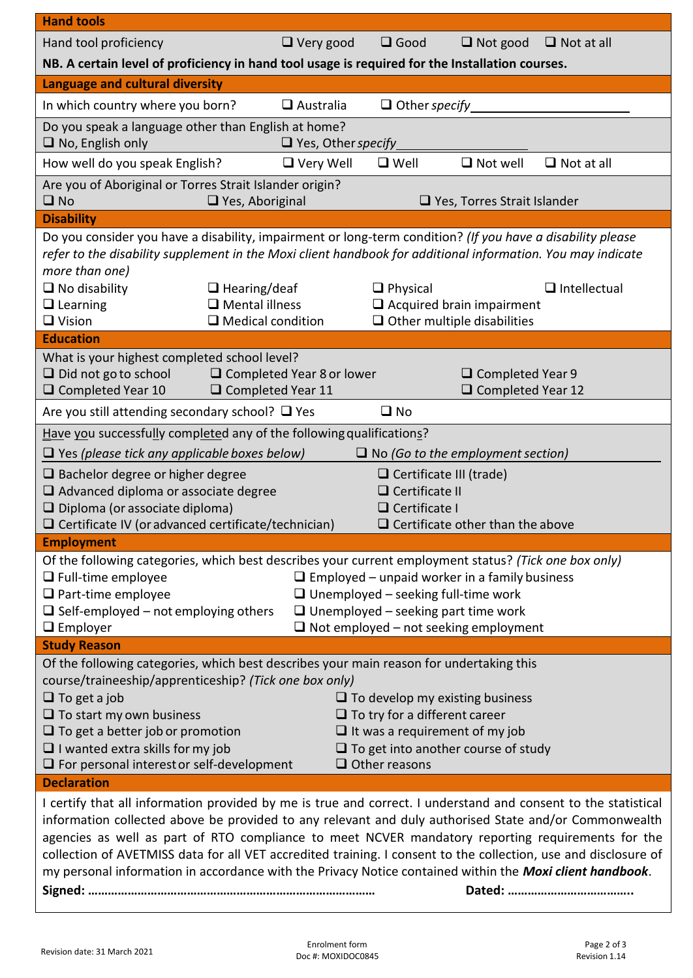| <b>Hand tools</b>                                                                                                                                                                                                                                                                                                                                                                                                                                                                                                                                           |                                                                |                             |                      |                                                |                     |  |  |
|-------------------------------------------------------------------------------------------------------------------------------------------------------------------------------------------------------------------------------------------------------------------------------------------------------------------------------------------------------------------------------------------------------------------------------------------------------------------------------------------------------------------------------------------------------------|----------------------------------------------------------------|-----------------------------|----------------------|------------------------------------------------|---------------------|--|--|
| Hand tool proficiency                                                                                                                                                                                                                                                                                                                                                                                                                                                                                                                                       |                                                                | $\Box$ Very good            | $\Box$ Good          | $\Box$ Not good                                | $\Box$ Not at all   |  |  |
| NB. A certain level of proficiency in hand tool usage is required for the Installation courses.                                                                                                                                                                                                                                                                                                                                                                                                                                                             |                                                                |                             |                      |                                                |                     |  |  |
| Language and cultural diversity                                                                                                                                                                                                                                                                                                                                                                                                                                                                                                                             |                                                                |                             |                      |                                                |                     |  |  |
| In which country where you born?                                                                                                                                                                                                                                                                                                                                                                                                                                                                                                                            |                                                                | $\Box$ Australia            | $\Box$ Other specify |                                                |                     |  |  |
| Do you speak a language other than English at home?<br>$\Box$ No, English only<br>□ Yes, Other specify                                                                                                                                                                                                                                                                                                                                                                                                                                                      |                                                                |                             |                      |                                                |                     |  |  |
| How well do you speak English?                                                                                                                                                                                                                                                                                                                                                                                                                                                                                                                              |                                                                | $\Box$ Very Well            | $\Box$ Well          | $\Box$ Not well                                | $\Box$ Not at all   |  |  |
| Are you of Aboriginal or Torres Strait Islander origin?<br>$\square$ No<br>$\Box$ Yes, Aboriginal<br>$\Box$ Yes, Torres Strait Islander                                                                                                                                                                                                                                                                                                                                                                                                                     |                                                                |                             |                      |                                                |                     |  |  |
| <b>Disability</b>                                                                                                                                                                                                                                                                                                                                                                                                                                                                                                                                           |                                                                |                             |                      |                                                |                     |  |  |
| Do you consider you have a disability, impairment or long-term condition? (If you have a disability please<br>refer to the disability supplement in the Moxi client handbook for additional information. You may indicate<br>more than one)<br>$\Box$ No disability<br>$\Box$ Learning                                                                                                                                                                                                                                                                      | $\Box$ Hearing/deaf<br>$\Box$ Mental illness                   |                             | $\Box$ Physical      | $\Box$ Acquired brain impairment               | $\Box$ Intellectual |  |  |
| $\Box$ Vision                                                                                                                                                                                                                                                                                                                                                                                                                                                                                                                                               | $\Box$ Medical condition<br>$\Box$ Other multiple disabilities |                             |                      |                                                |                     |  |  |
| <b>Education</b><br>What is your highest completed school level?<br>$\Box$ Did not go to school<br>$\Box$ Completed Year 10                                                                                                                                                                                                                                                                                                                                                                                                                                 | $\Box$ Completed Year 11                                       | □ Completed Year 8 or lower |                      | $\Box$ Completed Year 9<br>□ Completed Year 12 |                     |  |  |
| $\square$ No<br>Are you still attending secondary school? $\Box$ Yes                                                                                                                                                                                                                                                                                                                                                                                                                                                                                        |                                                                |                             |                      |                                                |                     |  |  |
| Have you successfully completed any of the following qualifications?<br>$\Box$ Yes (please tick any applicable boxes below)<br>$\Box$ No (Go to the employment section)<br>$\Box$ Bachelor degree or higher degree<br>$\Box$ Certificate III (trade)<br>$\Box$ Advanced diploma or associate degree<br>$\Box$ Certificate II<br>$\Box$ Diploma (or associate diploma)<br>$\Box$ Certificate I<br>$\Box$ Certificate IV (or advanced certificate/technician)<br>$\Box$ Certificate other than the above                                                      |                                                                |                             |                      |                                                |                     |  |  |
| <b>Employment</b>                                                                                                                                                                                                                                                                                                                                                                                                                                                                                                                                           |                                                                |                             |                      |                                                |                     |  |  |
| Of the following categories, which best describes your current employment status? (Tick one box only)<br>$\Box$ Employed – unpaid worker in a family business<br>$\Box$ Full-time employee<br>$\Box$ Part-time employee<br>$\Box$ Unemployed – seeking full-time work<br>$\Box$ Self-employed - not employing others<br>$\Box$ Unemployed – seeking part time work<br>$\Box$ Employer<br>$\Box$ Not employed – not seeking employment                                                                                                                       |                                                                |                             |                      |                                                |                     |  |  |
| <b>Study Reason</b>                                                                                                                                                                                                                                                                                                                                                                                                                                                                                                                                         |                                                                |                             |                      |                                                |                     |  |  |
| Of the following categories, which best describes your main reason for undertaking this<br>course/traineeship/apprenticeship? (Tick one box only)<br>$\Box$ To get a job<br>$\Box$ To develop my existing business<br>$\Box$ To start my own business<br>$\Box$ To try for a different career<br>$\Box$ To get a better job or promotion<br>$\Box$ It was a requirement of my job<br>$\Box$ I wanted extra skills for my job<br>$\Box$ To get into another course of study<br>$\Box$ Other reasons<br>$\Box$ For personal interest or self-development      |                                                                |                             |                      |                                                |                     |  |  |
| <b>Declaration</b>                                                                                                                                                                                                                                                                                                                                                                                                                                                                                                                                          |                                                                |                             |                      |                                                |                     |  |  |
| I certify that all information provided by me is true and correct. I understand and consent to the statistical<br>information collected above be provided to any relevant and duly authorised State and/or Commonwealth<br>agencies as well as part of RTO compliance to meet NCVER mandatory reporting requirements for the<br>collection of AVETMISS data for all VET accredited training. I consent to the collection, use and disclosure of<br>my personal information in accordance with the Privacy Notice contained within the Moxi client handbook. |                                                                |                             |                      |                                                |                     |  |  |